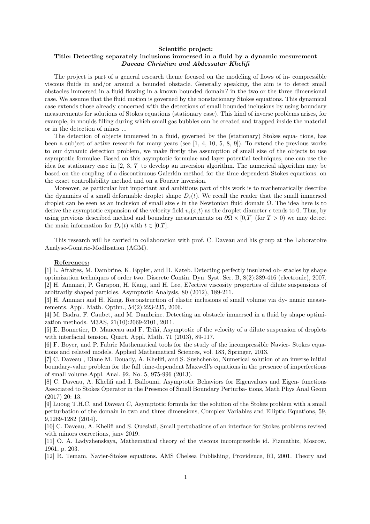## **Scientific project: Title: Detecting separately inclusions immersed in a fluid by a dynamic mesurement** *Daveau Christian and Abdessatar Khelifi*

The project is part of a general research theme focused on the modeling of flows of in- compressible viscous fluids in and/or around a bounded obstacle. Generally speaking, the aim is to detect small obstacles immersed in a fluid flowing in a known bounded domain? in the two or the three dimensional case. We assume that the fluid motion is governed by the nonstationary Stokes equations. This dynamical case extends those already concerned with the detections of small bounded inclusions by using boundary measurements for solutions of Stokes equations (stationary case). This kind of inverse problems arises, for example, in moulds filling during which small gas bubbles can be created and trapped inside the material or in the detection of mines ...

The detection of objects immersed in a fluid, governed by the (stationary) Stokes equa- tions, has been a subject of active research for many years (see [1, 4, 10, 5, 8, 9]). To extend the previous works to our dynamic detection problem, we make firstly the assumption of small size of the objects to use asymptotic formulae. Based on this asymptotic formulae and layer potential techniques, one can use the idea for stationary case in [2, 3, 7] to develop an inversion algorithm. The numerical algorithm may be based on the coupling of a discontinuous Galerkin method for the time dependent Stokes equations, on the exact controllability method and on a Fourier inversion.

Moreover, as particular but important and ambitious part of this work is to mathematically describe the dynamics of a small deformable droplet shape  $D_{\epsilon}(t)$ . We recall the reader that the small immersed droplet can be seen as an inclusion of small size *ϵ* in the Newtonian fluid domain Ω. The idea here is to derive the asymptotic expansion of the velocity field  $v_\epsilon(x,t)$  as the droplet diameter  $\epsilon$  tends to 0. Thus, by using previous described method and boundary measurements on  $\partial\Omega \times [0,T]$  (for  $T > 0$ ) we may detect the main information for  $D_{\epsilon}(t)$  with  $t \in [0,T]$ .

This research will be carried in collaboration with prof. C. Daveau and his group at the Laboratoire Analyse-Gomtrie-Modlisation (AGM).

## **References:**

[1] L. Afraites, M. Dambrine, K. Eppler, and D. Kateb. Detecting perfectly insulated ob- stacles by shape optimization techniques of order two. Discrete Contin. Dyn. Syst. Ser. B, 8(2):389-416 (electronic), 2007. [2] H. Ammari, P. Garapon, H. Kang, and H. Lee, E?ective viscosity properties of dilute suspensions of arbitrarily shaped particles. Asymptotic Analysis, 80 (2012), 189-211.

[3] H. Ammari and H. Kang. Reconstruction of elastic inclusions of small volume via dy- namic measurements. Appl. Math. Optim., 54(2):223-235, 2006.

[4] M. Badra, F. Caubet, and M. Dambrine. Detecting an obstacle immersed in a fluid by shape optimization methods. M3AS, 21(10):2069-2101, 2011.

[5] E. Bonnetier, D. Manceau and F. Triki, Asymptotic of the velocity of a dilute suspension of droplets with interfacial tension, Quart. Appl. Math. 71 (2013), 89-117.

[6] F. Boyer, and P. Fabrie Mathematical tools for the study of the incompressible Navier- Stokes equations and related models. Applied Mathematical Sciences, vol. 183, Springer, 2013.

[7] C. Daveau , Diane M. Douady, A. Khelifi, and S. Sushchenko, Numerical solution of an inverse initial boundary-value problem for the full time-dependent Maxwell's equations in the presence of imperfections of small volume.Appl. Anal. 92, No. 5, 975-996 (2013).

[8] C. Daveau, A. Khelifi and I. Balloumi, Asymptotic Behaviors for Eigenvalues and Eigen- functions Associated to Stokes Operator in the Presence of Small Boundary Perturba- tions, Math Phys Anal Geom (2017) 20: 13.

[9] Luong T.H.C. and Daveau C, Asymptotic formula for the solution of the Stokes problem with a small perturbation of the domain in two and three dimensions, Complex Variables and Elliptic Equations, 59, 9,1269-1282 (2014).

[10] C. Daveau, A. Khelifi and S. Oueslati, Small pertubations of an interface for Stokes problems revised with minors corrections, janv 2019.

[11] O. A. Ladyzhenskaya, Mathematical theory of the viscous incompressible id. Fizmathiz, Moscow, 1961, p. 203.

[12] R. Temam, Navier-Stokes equations. AMS Chelsea Publishing, Providence, RI, 2001. Theory and